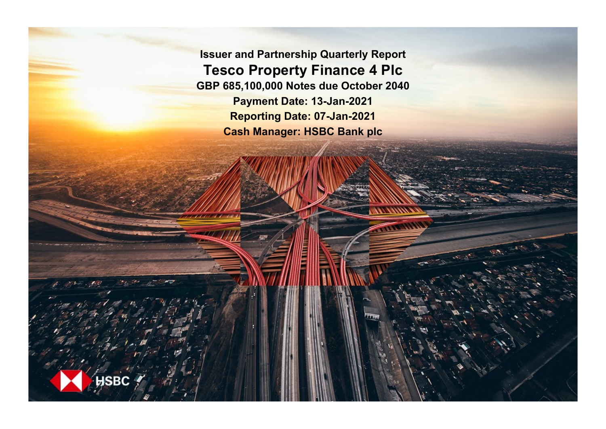**Issuer and Partnership Quarterly Report Tesco Property Finance 4 Plc GBP 685,100,000 Notes due October 2040 Payment Date: 13-Jan-2021 Reporting Date: 07-Jan-2021 Cash Manager: HSBC Bank plc**

**SRC**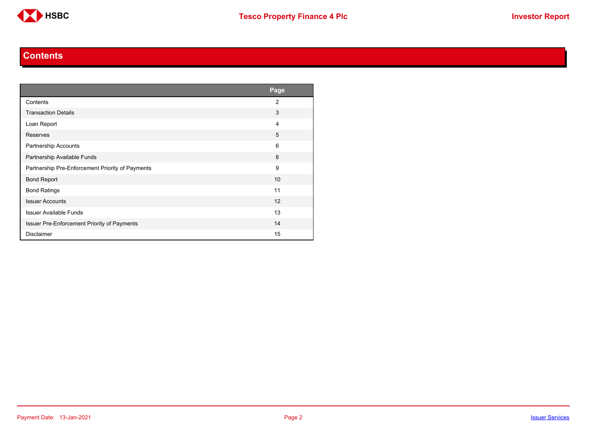

#### **Contents**

<span id="page-1-0"></span>

|                                                    | Page           |
|----------------------------------------------------|----------------|
| Contents                                           | $\overline{2}$ |
| <b>Transaction Details</b>                         | 3              |
| Loan Report                                        | 4              |
| <b>Reserves</b>                                    | 5              |
| Partnership Accounts                               | 6              |
| Partnership Available Funds                        | 8              |
| Partnership Pre-Enforcement Priority of Payments   | 9              |
| <b>Bond Report</b>                                 | 10             |
| <b>Bond Ratings</b>                                | 11             |
| <b>Issuer Accounts</b>                             | 12             |
| <b>Issuer Available Funds</b>                      | 13             |
| <b>Issuer Pre-Enforcement Priority of Payments</b> | 14             |
| <b>Disclaimer</b>                                  | 15             |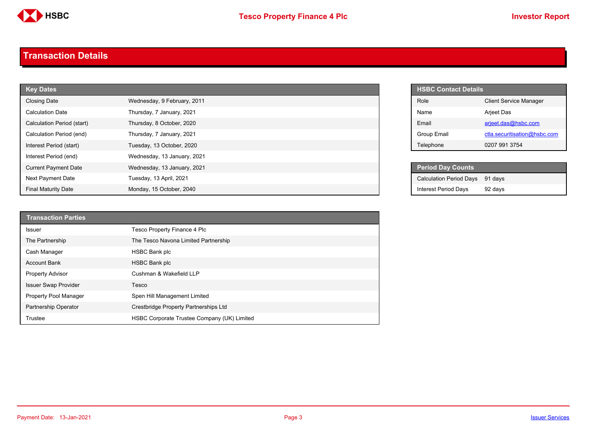

#### <span id="page-2-0"></span>**Transaction Details**

| <b>Key Dates</b>            |                             |  | <b>HSBC Contact Details</b>    |
|-----------------------------|-----------------------------|--|--------------------------------|
| <b>Closing Date</b>         | Wednesday, 9 February, 2011 |  | Role                           |
| <b>Calculation Date</b>     | Thursday, 7 January, 2021   |  | Name                           |
| Calculation Period (start)  | Thursday, 8 October, 2020   |  | Email                          |
| Calculation Period (end)    | Thursday, 7 January, 2021   |  | Group Email                    |
| Interest Period (start)     | Tuesday, 13 October, 2020   |  | Telephone                      |
| Interest Period (end)       | Wednesday, 13 January, 2021 |  |                                |
| <b>Current Payment Date</b> | Wednesday, 13 January, 2021 |  | <b>Period Day Counts</b>       |
| Next Payment Date           | Tuesday, 13 April, 2021     |  | <b>Calculation Period Days</b> |
| <b>Final Maturity Date</b>  | Monday, 15 October, 2040    |  | <b>Interest Period Days</b>    |

| <b>Transaction Parties</b>  |                                             |
|-----------------------------|---------------------------------------------|
| <b>Issuer</b>               | Tesco Property Finance 4 Plc                |
| The Partnership             | The Tesco Navona Limited Partnership        |
| Cash Manager                | <b>HSBC Bank plc</b>                        |
| <b>Account Bank</b>         | <b>HSBC Bank plc</b>                        |
| <b>Property Advisor</b>     | Cushman & Wakefield LLP                     |
| <b>Issuer Swap Provider</b> | Tesco                                       |
| Property Pool Manager       | Spen Hill Management Limited                |
| <b>Partnership Operator</b> | Crestbridge Property Partnerships Ltd       |
| Trustee                     | HSBC Corporate Trustee Company (UK) Limited |

| <b>HSBC Contact Details</b> |                               |
|-----------------------------|-------------------------------|
| Role                        | <b>Client Service Manager</b> |
| Name                        | Arjeet Das                    |
| Fmail                       | arjeet.das@hsbc.com           |
| Group Email                 | ctla.securitisation@hsbc.com  |
| Telephone                   | 0207 991 3754                 |

| <b>Period Day Counts</b>       |         |
|--------------------------------|---------|
| <b>Calculation Period Days</b> | 91 davs |
| <b>Interest Period Days</b>    | 92 days |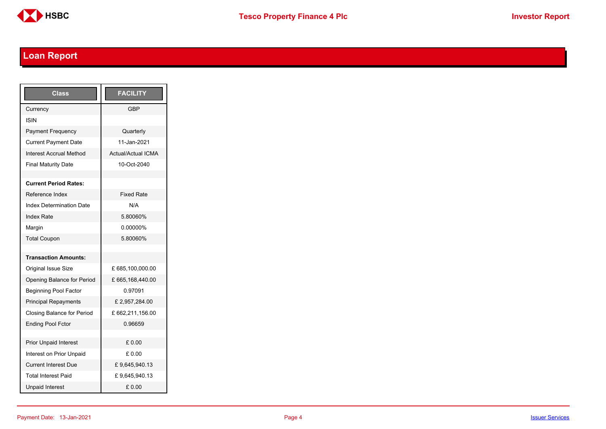

# <span id="page-3-0"></span>**Loan Report**

| <b>Class</b>                      | <b>FACILITY</b>           |
|-----------------------------------|---------------------------|
| Currency                          | GBP                       |
| ISIN                              |                           |
| <b>Payment Frequency</b>          | Quarterly                 |
| <b>Current Payment Date</b>       | 11-Jan-2021               |
| <b>Interest Accrual Method</b>    | <b>Actual/Actual ICMA</b> |
| <b>Final Maturity Date</b>        | 10-Oct-2040               |
|                                   |                           |
| <b>Current Period Rates:</b>      |                           |
| Reference Index                   | <b>Fixed Rate</b>         |
| <b>Index Determination Date</b>   | N/A                       |
| <b>Index Rate</b>                 | 5.80060%                  |
| Margin                            | 0.00000%                  |
| <b>Total Coupon</b>               | 5.80060%                  |
|                                   |                           |
| <b>Transaction Amounts:</b>       |                           |
| <b>Original Issue Size</b>        | £ 685,100,000.00          |
| Opening Balance for Period        | £665,168,440.00           |
| <b>Beginning Pool Factor</b>      | 0.97091                   |
| <b>Principal Repayments</b>       | £2,957,284.00             |
| <b>Closing Balance for Period</b> | £662,211,156.00           |
| <b>Ending Pool Fctor</b>          | 0.96659                   |
|                                   |                           |
| <b>Prior Unpaid Interest</b>      | £0.00                     |
| Interest on Prior Unpaid          | £ 0.00                    |
| <b>Current Interest Due</b>       | £9,645,940.13             |
| <b>Total Interest Paid</b>        | £9,645,940.13             |
| <b>Unpaid Interest</b>            | £0.00                     |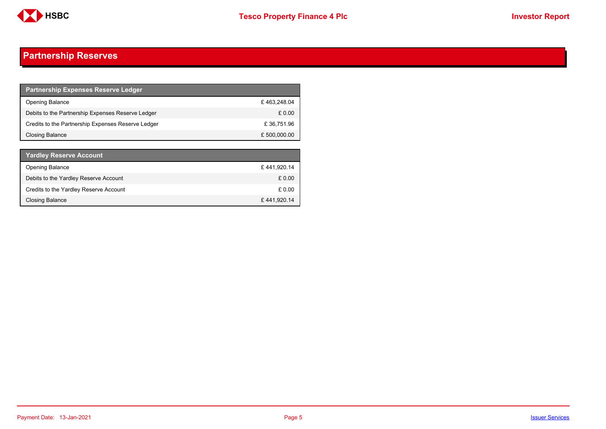

## <span id="page-4-0"></span>**Partnership Reserves**

| <b>Partnership Expenses Reserve Ledger</b>         |              |
|----------------------------------------------------|--------------|
| <b>Opening Balance</b>                             | £463.248.04  |
| Debits to the Partnership Expenses Reserve Ledger  | £ 0.00       |
| Credits to the Partnership Expenses Reserve Ledger | £36,751.96   |
| Closing Balance                                    | £ 500,000.00 |

| <b>Yardley Reserve Account</b>         |             |
|----------------------------------------|-------------|
| <b>Opening Balance</b>                 | £441,920.14 |
| Debits to the Yardley Reserve Account  | £ 0.00      |
| Credits to the Yardley Reserve Account | £0.00       |
| <b>Closing Balance</b>                 | £441,920.14 |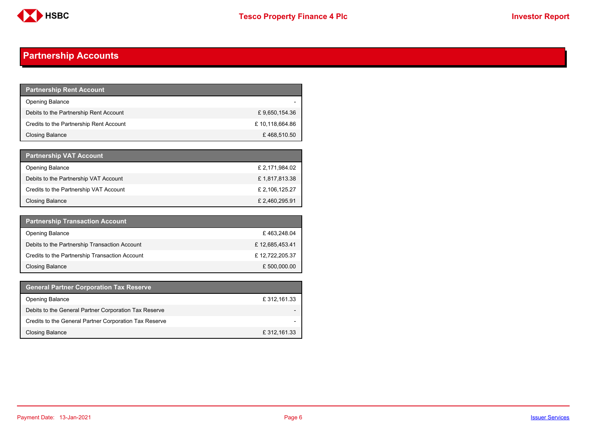

## <span id="page-5-0"></span>**Partnership Accounts**

| <b>Partnership Rent Account</b>         |                |
|-----------------------------------------|----------------|
| <b>Opening Balance</b>                  |                |
| Debits to the Partnership Rent Account  | £9,650,154.36  |
| Credits to the Partnership Rent Account | £10,118,664.86 |
| Closing Balance                         | £468,510.50    |

| <b>Partnership VAT Account</b>         |                |
|----------------------------------------|----------------|
| <b>Opening Balance</b>                 | £ 2,171,984.02 |
| Debits to the Partnership VAT Account  | £1,817,813.38  |
| Credits to the Partnership VAT Account | £ 2,106,125.27 |
| Closing Balance                        | £ 2,460,295.91 |

| <b>Partnership Transaction Account</b>         |                |
|------------------------------------------------|----------------|
| <b>Opening Balance</b>                         | £463,248.04    |
| Debits to the Partnership Transaction Account  | £12,685,453.41 |
| Credits to the Partnership Transaction Account | £12,722,205.37 |
| <b>Closing Balance</b>                         | £ 500,000.00   |

| <b>General Partner Corporation Tax Reserve</b>         |              |
|--------------------------------------------------------|--------------|
| <b>Opening Balance</b>                                 | £ 312,161.33 |
| Debits to the General Partner Corporation Tax Reserve  |              |
| Credits to the General Partner Corporation Tax Reserve |              |
| <b>Closing Balance</b>                                 | £ 312,161.33 |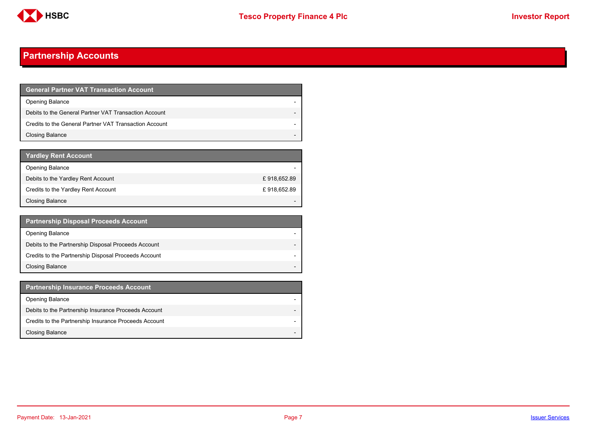

## **Partnership Accounts**

| <b>General Partner VAT Transaction Account</b>         |  |
|--------------------------------------------------------|--|
| <b>Opening Balance</b>                                 |  |
| Debits to the General Partner VAT Transaction Account  |  |
| Credits to the General Partner VAT Transaction Account |  |
| <b>Closing Balance</b>                                 |  |

| <b>Yardley Rent Account</b>         |             |
|-------------------------------------|-------------|
| <b>Opening Balance</b>              |             |
| Debits to the Yardley Rent Account  | £918,652.89 |
| Credits to the Yardley Rent Account | £918,652.89 |
| <b>Closing Balance</b>              |             |

| <b>Partnership Disposal Proceeds Account</b>         |                          |
|------------------------------------------------------|--------------------------|
| <b>Opening Balance</b>                               |                          |
| Debits to the Partnership Disposal Proceeds Account  | $\overline{\phantom{0}}$ |
| Credits to the Partnership Disposal Proceeds Account |                          |
| <b>Closing Balance</b>                               |                          |

| <b>Partnership Insurance Proceeds Account</b>         |                          |
|-------------------------------------------------------|--------------------------|
| <b>Opening Balance</b>                                |                          |
| Debits to the Partnership Insurance Proceeds Account  | $\overline{\phantom{0}}$ |
| Credits to the Partnership Insurance Proceeds Account |                          |
| <b>Closing Balance</b>                                |                          |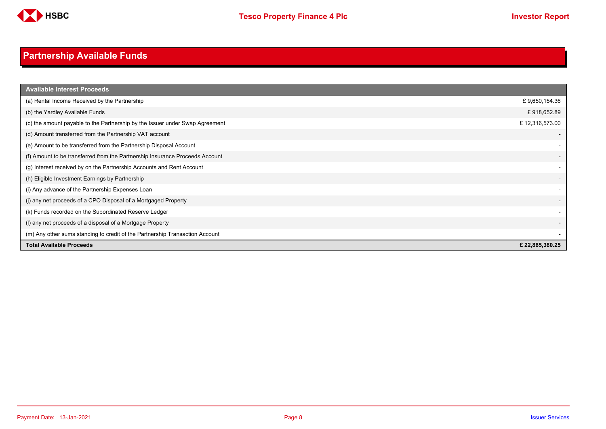

# <span id="page-7-0"></span>**Partnership Available Funds**

| <b>Available Interest Proceeds</b>                                           |                          |
|------------------------------------------------------------------------------|--------------------------|
| (a) Rental Income Received by the Partnership                                | £9,650,154.36            |
| (b) the Yardley Available Funds                                              | £918,652.89              |
| (c) the amount payable to the Partnership by the Issuer under Swap Agreement | £12,316,573.00           |
| (d) Amount transferred from the Partnership VAT account                      |                          |
| (e) Amount to be transferred from the Partnership Disposal Account           |                          |
| (f) Amount to be transferred from the Partnership Insurance Proceeds Account | $\overline{\phantom{a}}$ |
| (g) Interest received by on the Partnership Accounts and Rent Account        | $\overline{\phantom{a}}$ |
| (h) Eligible Investment Earnings by Partnership                              | $\overline{\phantom{a}}$ |
| (i) Any advance of the Partnership Expenses Loan                             |                          |
| (j) any net proceeds of a CPO Disposal of a Mortgaged Property               | $\overline{\phantom{0}}$ |
| (k) Funds recorded on the Subordinated Reserve Ledger                        | $\overline{\phantom{a}}$ |
| (I) any net proceeds of a disposal of a Mortgage Property                    | $\overline{\phantom{a}}$ |
| (m) Any other sums standing to credit of the Partnership Transaction Account |                          |
| <b>Total Available Proceeds</b>                                              | £22,885,380.25           |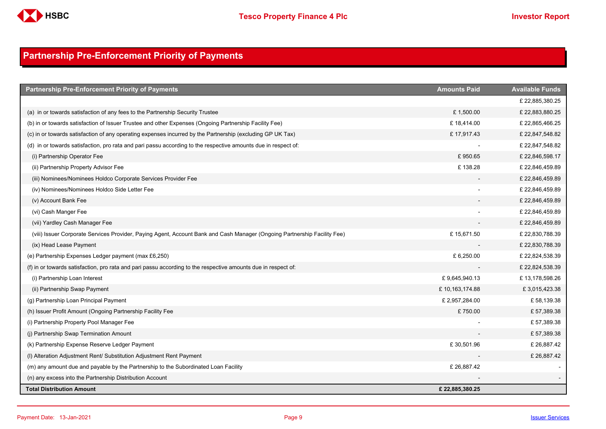

## <span id="page-8-0"></span>**Partnership Pre-Enforcement Priority of Payments**

| <b>Partnership Pre-Enforcement Priority of Payments</b>                                                                   | <b>Amounts Paid</b> | <b>Available Funds</b> |
|---------------------------------------------------------------------------------------------------------------------------|---------------------|------------------------|
|                                                                                                                           |                     | £22,885,380.25         |
| (a) in or towards satisfaction of any fees to the Partnership Security Trustee                                            | £1,500.00           | £22,883,880.25         |
| (b) in or towards satisfaction of Issuer Trustee and other Expenses (Ongoing Partnership Facility Fee)                    | £18,414.00          | £22,865,466.25         |
| (c) in or towards satisfaction of any operating expenses incurred by the Partnership (excluding GP UK Tax)                | £17,917.43          | £ 22,847,548.82        |
| (d) in or towards satisfaction, pro rata and pari passu according to the respective amounts due in respect of:            |                     | £ 22,847,548.82        |
| (i) Partnership Operator Fee                                                                                              | £950.65             | £22,846,598.17         |
| (ii) Partnership Property Advisor Fee                                                                                     | £138.28             | £22,846,459.89         |
| (iii) Nominees/Nominees Holdco Corporate Services Provider Fee                                                            |                     | £ 22,846,459.89        |
| (iv) Nominees/Nominees Holdco Side Letter Fee                                                                             |                     | £22,846,459.89         |
| (v) Account Bank Fee                                                                                                      |                     | £ 22,846,459.89        |
| (vi) Cash Manger Fee                                                                                                      |                     | £22,846,459.89         |
| (vii) Yardley Cash Manager Fee                                                                                            |                     | £22,846,459.89         |
| (viii) Issuer Corporate Services Provider, Paying Agent, Account Bank and Cash Manager (Ongoing Partnership Facility Fee) | £15,671.50          | £ 22,830,788.39        |
| (ix) Head Lease Payment                                                                                                   |                     | £22,830,788.39         |
| (e) Partnership Expenses Ledger payment (max £6,250)                                                                      | £ 6,250.00          | £ 22,824,538.39        |
| (f) in or towards satisfaction, pro rata and pari passu according to the respective amounts due in respect of:            |                     | £ 22,824,538.39        |
| (i) Partnership Loan Interest                                                                                             | £9,645,940.13       | £13,178,598.26         |
| (ii) Partnership Swap Payment                                                                                             | £10,163,174.88      | £3,015,423.38          |
| (g) Partnership Loan Principal Payment                                                                                    | £ 2,957,284.00      | £58,139.38             |
| (h) Issuer Profit Amount (Ongoing Partnership Facility Fee                                                                | £750.00             | £57,389.38             |
| (i) Partnership Property Pool Manager Fee                                                                                 |                     | £57,389.38             |
| (i) Partnership Swap Termination Amount                                                                                   |                     | £57,389.38             |
| (k) Partnership Expense Reserve Ledger Payment                                                                            | £30,501.96          | £26,887.42             |
| (I) Alteration Adjustment Rent/ Substitution Adjustment Rent Payment                                                      |                     | £26,887.42             |
| (m) any amount due and payable by the Partnership to the Subordinated Loan Facility                                       | £26,887.42          |                        |
| (n) any excess into the Partnership Distribution Account                                                                  |                     |                        |
| <b>Total Distribution Amount</b>                                                                                          | £22,885,380.25      |                        |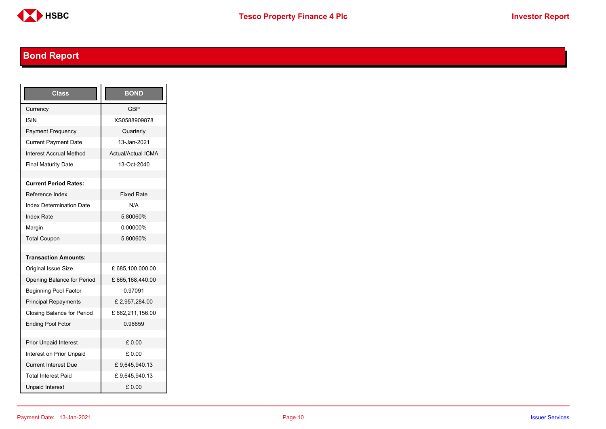

# <span id="page-9-0"></span>**Bond Report**

| <b>Class</b>                      | <b>BOND</b>               |
|-----------------------------------|---------------------------|
| Currency                          | <b>GBP</b>                |
| ISIN                              | XS0588909878              |
| Payment Frequency                 | Quarterly                 |
| <b>Current Payment Date</b>       | 13-Jan-2021               |
| <b>Interest Accrual Method</b>    | <b>Actual/Actual ICMA</b> |
| <b>Final Maturity Date</b>        | 13-Oct-2040               |
|                                   |                           |
| <b>Current Period Rates:</b>      |                           |
| Reference Index                   | <b>Fixed Rate</b>         |
| <b>Index Determination Date</b>   | N/A                       |
| <b>Index Rate</b>                 | 5.80060%                  |
| Margin                            | 0.00000%                  |
| <b>Total Coupon</b>               | 5.80060%                  |
|                                   |                           |
| <b>Transaction Amounts:</b>       |                           |
| <b>Original Issue Size</b>        | £685,100,000.00           |
| Opening Balance for Period        | £665,168,440.00           |
| <b>Beginning Pool Factor</b>      | 0.97091                   |
| <b>Principal Repayments</b>       | £2,957,284.00             |
| <b>Closing Balance for Period</b> | £662,211,156.00           |
| <b>Ending Pool Fctor</b>          | 0.96659                   |
|                                   |                           |
| <b>Prior Unpaid Interest</b>      | £0.00                     |
| Interest on Prior Unpaid          | £ 0.00                    |
| <b>Current Interest Due</b>       | £9,645,940.13             |
| <b>Total Interest Paid</b>        | £9,645,940.13             |
| <b>Unpaid Interest</b>            | £0.00                     |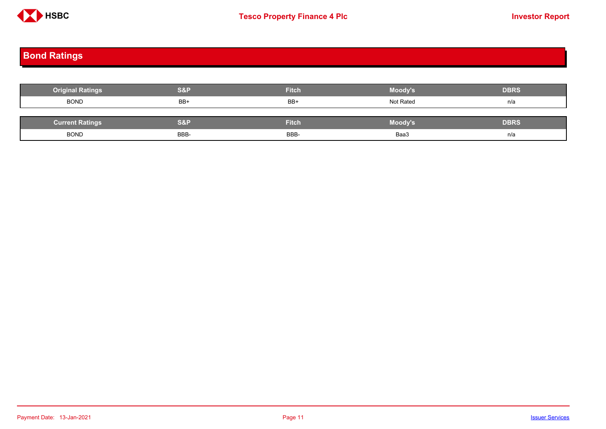

# <span id="page-10-0"></span>**Bond Ratings**

| <b>Original Ratings</b> | S&P  | <b>Fitch</b> | <b>Moody's</b> | <b>DBRS</b> |
|-------------------------|------|--------------|----------------|-------------|
| <b>BOND</b>             | BB+  | BB+          | Not Rated      | n/a         |
|                         |      |              |                |             |
| <b>Current Ratings</b>  | S&P  | <b>Fitch</b> | Moody's        | <b>DBRS</b> |
| <b>BOND</b>             | BBB- | BBB-         | Baa3           | n/a         |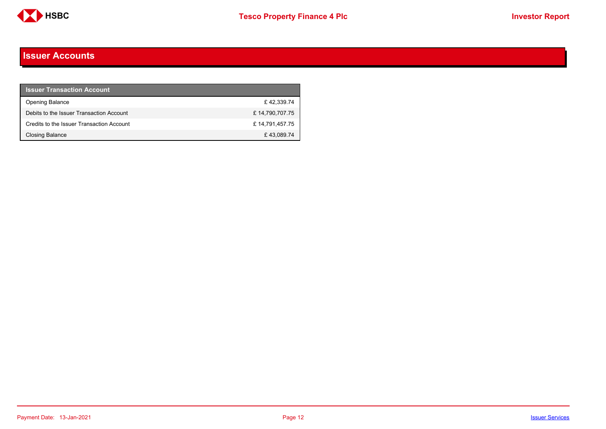

#### <span id="page-11-0"></span>**Issuer Accounts**

| <b>Issuer Transaction Account</b>         |                |
|-------------------------------------------|----------------|
| <b>Opening Balance</b>                    | £42.339.74     |
| Debits to the Issuer Transaction Account  | £14,790,707.75 |
| Credits to the Issuer Transaction Account | £14,791,457.75 |
| Closing Balance                           | £43,089.74     |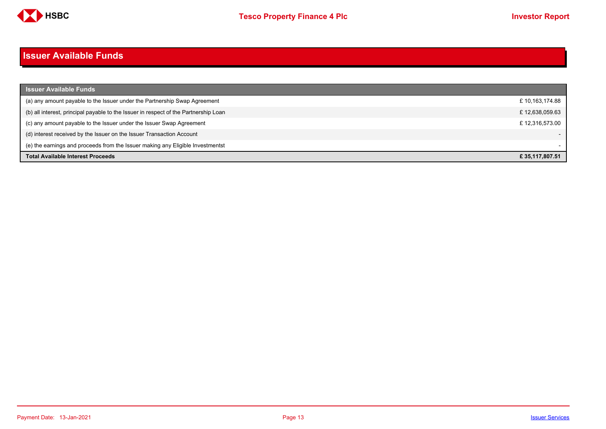

#### <span id="page-12-0"></span>**Issuer Available Funds**

| <b>Issuer Available Funds</b>                                                        |                |
|--------------------------------------------------------------------------------------|----------------|
| (a) any amount payable to the Issuer under the Partnership Swap Agreement            | £10,163,174.88 |
| (b) all interest, principal payable to the Issuer in respect of the Partnership Loan | £12,638,059.63 |
| (c) any amount payable to the Issuer under the Issuer Swap Agreement                 | £12,316,573.00 |
| (d) interest received by the Issuer on the Issuer Transaction Account                |                |
| (e) the earnings and proceeds from the Issuer making any Eligible Investmentst       |                |
| <b>Total Available Interest Proceeds</b>                                             | £35.117.807.51 |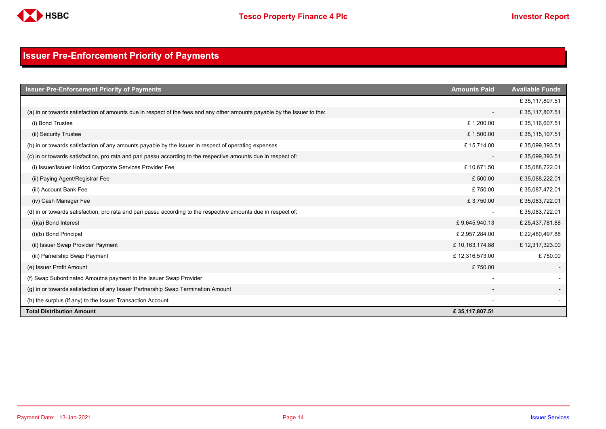

## <span id="page-13-0"></span>**Issuer Pre-Enforcement Priority of Payments**

| <b>Issuer Pre-Enforcement Priority of Payments</b>                                                                       | <b>Amounts Paid</b>      | <b>Available Funds</b> |
|--------------------------------------------------------------------------------------------------------------------------|--------------------------|------------------------|
|                                                                                                                          |                          | £35,117,807.51         |
| (a) in or towards satisfaction of amounts due in respect of the fees and any other amounts payable by the Issuer to the: | $\overline{\phantom{a}}$ | £35,117,807.51         |
| (i) Bond Trustee                                                                                                         | £1,200.00                | £35,116,607.51         |
| (ii) Security Trustee                                                                                                    | £1,500.00                | £35,115,107.51         |
| (b) in or towards satisfaction of any amounts payable by the Issuer in respect of operating expenses                     | £15,714.00               | £35,099,393.51         |
| (c) in or towards satisfaction, pro rata and pari passu according to the respective amounts due in respect of:           |                          | £35,099,393.51         |
| (i) Issuer/Issuer Holdco Corporate Services Provider Fee                                                                 | £10,671.50               | £35,088,722.01         |
| (ii) Paying Agent/Registrar Fee                                                                                          | £500.00                  | £35,088,222.01         |
| (iii) Account Bank Fee                                                                                                   | £750.00                  | £35,087,472.01         |
| (iv) Cash Manager Fee                                                                                                    | £3,750.00                | £35,083,722.01         |
| (d) in or towards satisfaction, pro rata and pari passu according to the respective amounts due in respect of:           |                          | £35,083,722.01         |
| $(i)(a)$ Bond Interest                                                                                                   | £9,645,940.13            | £25,437,781.88         |
| (i)(b) Bond Principal                                                                                                    | £ 2,957,284.00           | £22,480,497.88         |
| (ii) Issuer Swap Provider Payment                                                                                        | £10,163,174.88           | £12,317,323.00         |
| (iii) Parnership Swap Payment                                                                                            | £12,316,573.00           | £750.00                |
| (e) Issuer Profit Amount                                                                                                 | £750.00                  |                        |
| (f) Swap Subordinated Amoutns payment to the Issuer Swap Provider                                                        |                          |                        |
| (g) in or towards satisfaction of any Issuer Partnership Swap Termination Amount                                         |                          |                        |
| (h) the surplus (if any) to the Issuer Transaction Account                                                               |                          |                        |
| <b>Total Distribution Amount</b>                                                                                         | £35,117,807.51           |                        |